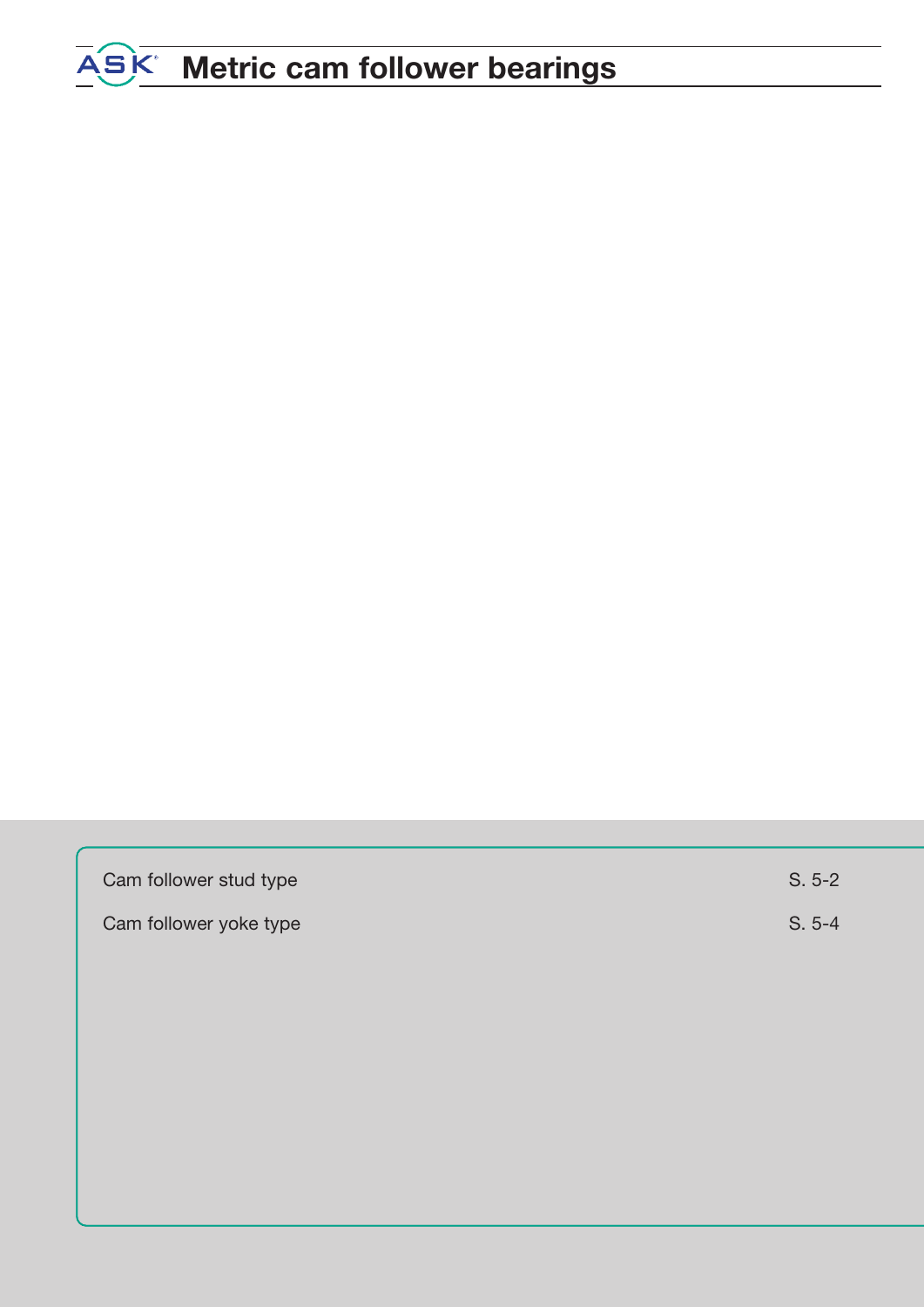# **Metric cam follower bearings**

| Cam follower stud type | $S. 5-2$ |
|------------------------|----------|
| Cam follower yoke type | $S. 5-4$ |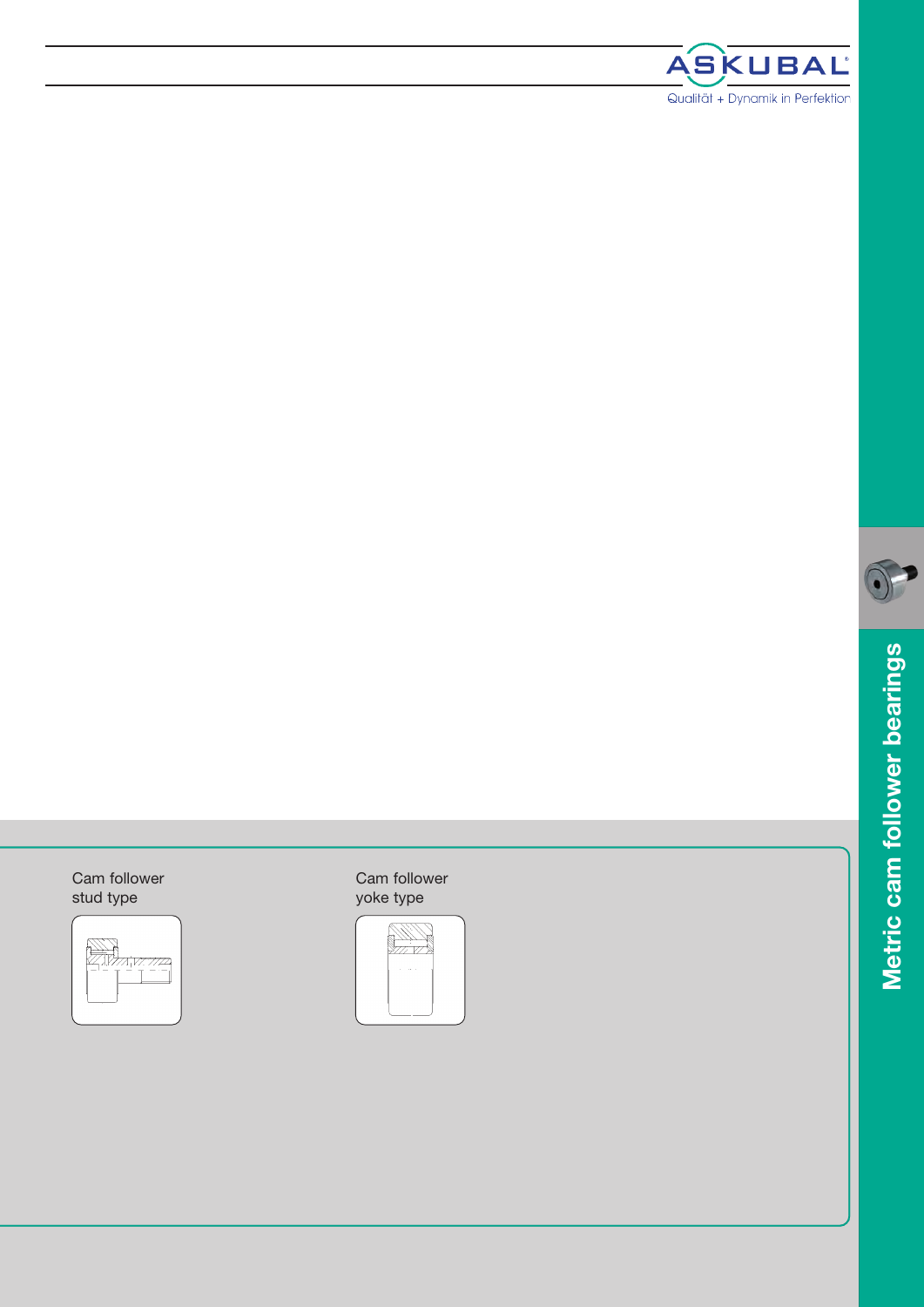



#### Cam follower s t u d t y p e



### Cam follower yoke type

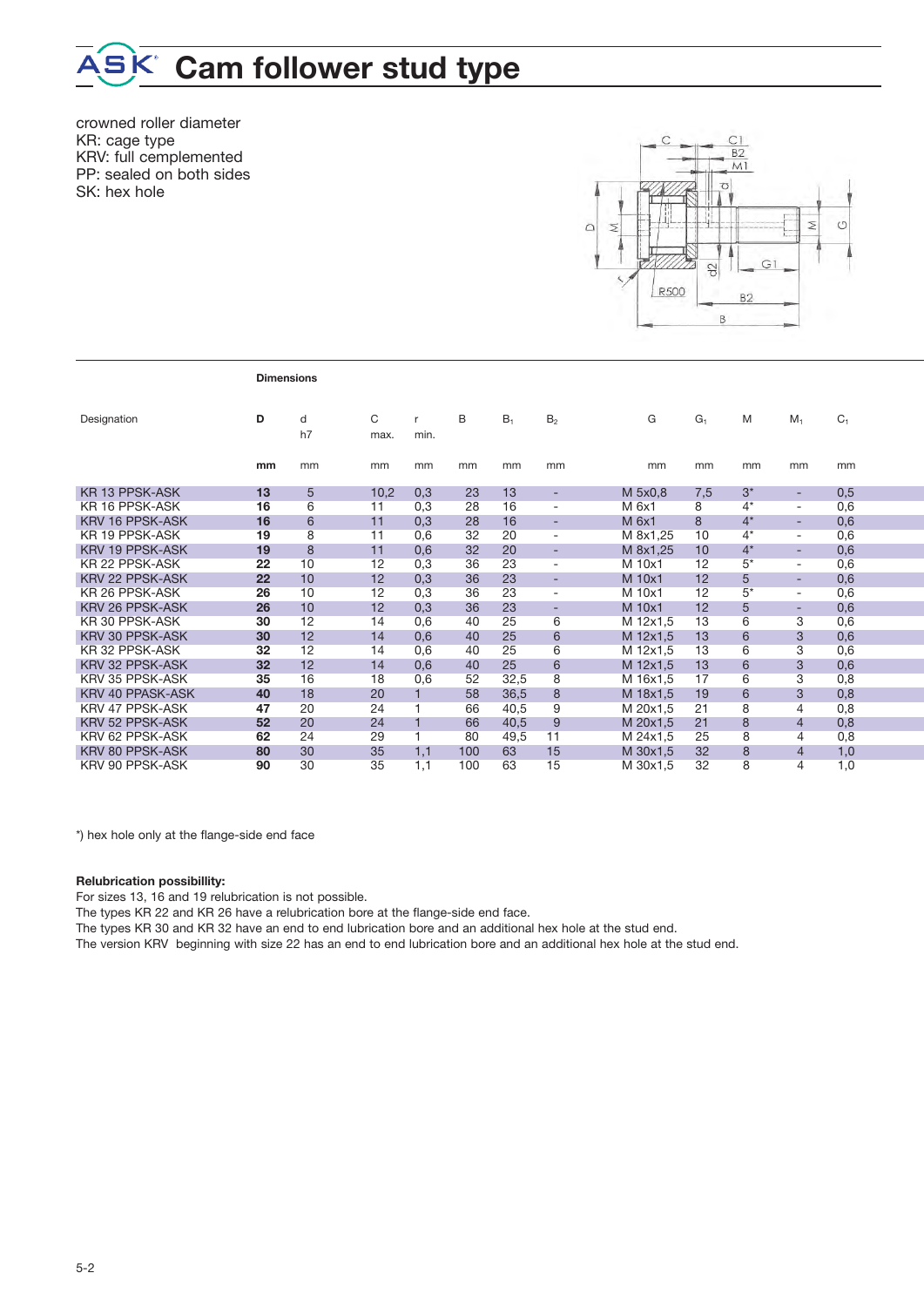### **Cam follower stud type**

crowned roller diameter KR: cage type KRV: full cemplemented PP: sealed on both sides SK: hex hole



|                        | <b>Dimensions</b> |         |           |              |     |       |                          |          |       |       |                          |                |
|------------------------|-------------------|---------|-----------|--------------|-----|-------|--------------------------|----------|-------|-------|--------------------------|----------------|
| Designation            | D                 | d<br>h7 | C<br>max. | r<br>min.    | B   | $B_1$ | B <sub>2</sub>           | G        | $G_1$ | M     | $M_1$                    | C <sub>1</sub> |
|                        | mm                | mm      | mm        | mm           | mm  | mm    | mm                       | mm       | mm    | mm    | mm                       | mm             |
| <b>KR 13 PPSK-ASK</b>  | 13                | 5       | 10,2      | 0,3          | 23  | 13    | $\overline{\phantom{a}}$ | M 5x0,8  | 7,5   | $3^*$ | ٠                        | 0,5            |
| KR 16 PPSK-ASK         | 16                | 6       | 11        | 0,3          | 28  | 16    | ÷,                       | M 6x1    | 8     | $4^*$ | $\overline{\phantom{a}}$ | 0,6            |
| <b>KRV 16 PPSK-ASK</b> | 16                | 6       | 11        | 0,3          | 28  | 16    | $\overline{\phantom{a}}$ | M 6x1    | 8     | $4^*$ | $\overline{\phantom{a}}$ | 0,6            |
| KR 19 PPSK-ASK         | 19                | 8       | 11        | 0,6          | 32  | 20    | $\overline{\phantom{a}}$ | M 8x1,25 | 10    | $4^*$ | $\overline{\phantom{a}}$ | 0,6            |
| <b>KRV 19 PPSK-ASK</b> | 19                | 8       | 11        | 0,6          | 32  | 20    | ÷                        | M 8x1,25 | 10    | $4^*$ | $\sim$                   | 0,6            |
| KR 22 PPSK-ASK         | 22                | 10      | 12        | 0,3          | 36  | 23    | $\overline{\phantom{a}}$ | M 10x1   | 12    | $5*$  | $\overline{\phantom{a}}$ | 0,6            |
| <b>KRV 22 PPSK-ASK</b> | 22                | 10      | 12        | 0,3          | 36  | 23    | ۰                        | M 10x1   | 12    | 5     | $\overline{\phantom{a}}$ | 0,6            |
| KR 26 PPSK-ASK         | 26                | 10      | 12        | 0,3          | 36  | 23    | $\overline{a}$           | M 10x1   | 12    | $5^*$ | $\overline{\phantom{a}}$ | 0,6            |
| KRV 26 PPSK-ASK        | 26                | 10      | 12        | 0,3          | 36  | 23    | $\overline{\phantom{a}}$ | M 10x1   | 12    | 5     | $\overline{\phantom{a}}$ | 0,6            |
| KR 30 PPSK-ASK         | 30                | 12      | 14        | 0,6          | 40  | 25    | 6                        | M 12x1.5 | 13    | 6     | 3                        | 0,6            |
| <b>KRV 30 PPSK-ASK</b> | 30                | 12      | 14        | 0,6          | 40  | 25    | 6                        | M 12x1,5 | 13    | 6     | 3                        | 0,6            |
| KR 32 PPSK-ASK         | 32                | 12      | 14        | 0,6          | 40  | 25    | 6                        | M 12x1,5 | 13    | 6     | 3                        | 0,6            |
| <b>KRV 32 PPSK-ASK</b> | 32                | 12      | 14        | 0,6          | 40  | 25    | 6                        | M 12x1,5 | 13    | 6     | 3                        | 0,6            |
| KRV 35 PPSK-ASK        | 35                | 16      | 18        | 0,6          | 52  | 32,5  | 8                        | M 16x1,5 | 17    | 6     | 3                        | 0,8            |
| KRV 40 PPASK-ASK       | 40                | 18      | 20        | $\mathbf{1}$ | 58  | 36,5  | 8                        | M 18x1,5 | 19    | 6     | 3                        | 0,8            |
| KRV 47 PPSK-ASK        | 47                | 20      | 24        | 1            | 66  | 40.5  | 9                        | M 20x1,5 | 21    | 8     | $\overline{4}$           | 0,8            |
| KRV 52 PPSK-ASK        | 52                | 20      | 24        | $\mathbf{1}$ | 66  | 40,5  | 9                        | M 20x1,5 | 21    | 8     | $\overline{4}$           | 0,8            |
| KRV 62 PPSK-ASK        | 62                | 24      | 29        | 1            | 80  | 49,5  | 11                       | M 24x1,5 | 25    | 8     | 4                        | 0,8            |
| KRV 80 PPSK-ASK        | 80                | 30      | 35        | 1,1          | 100 | 63    | 15                       | M 30x1,5 | 32    | 8     | $\overline{4}$           | 1,0            |
| KRV 90 PPSK-ASK        | 90                | 30      | 35        | 1.1          | 100 | 63    | 15                       | M 30x1.5 | 32    | 8     | 4                        | 1.0            |

\*) hex hole only at the flange-side end face

#### **Relubrication possibillity:**

For sizes 13, 16 and 19 relubrication is not possible.

The types KR 22 and KR 26 have a relubrication bore at the flange-side end face.

The types KR 30 and KR 32 have an end to end lubrication bore and an additional hex hole at the stud end.

The version KRV beginning with size 22 has an end to end lubrication bore and an additional hex hole at the stud end.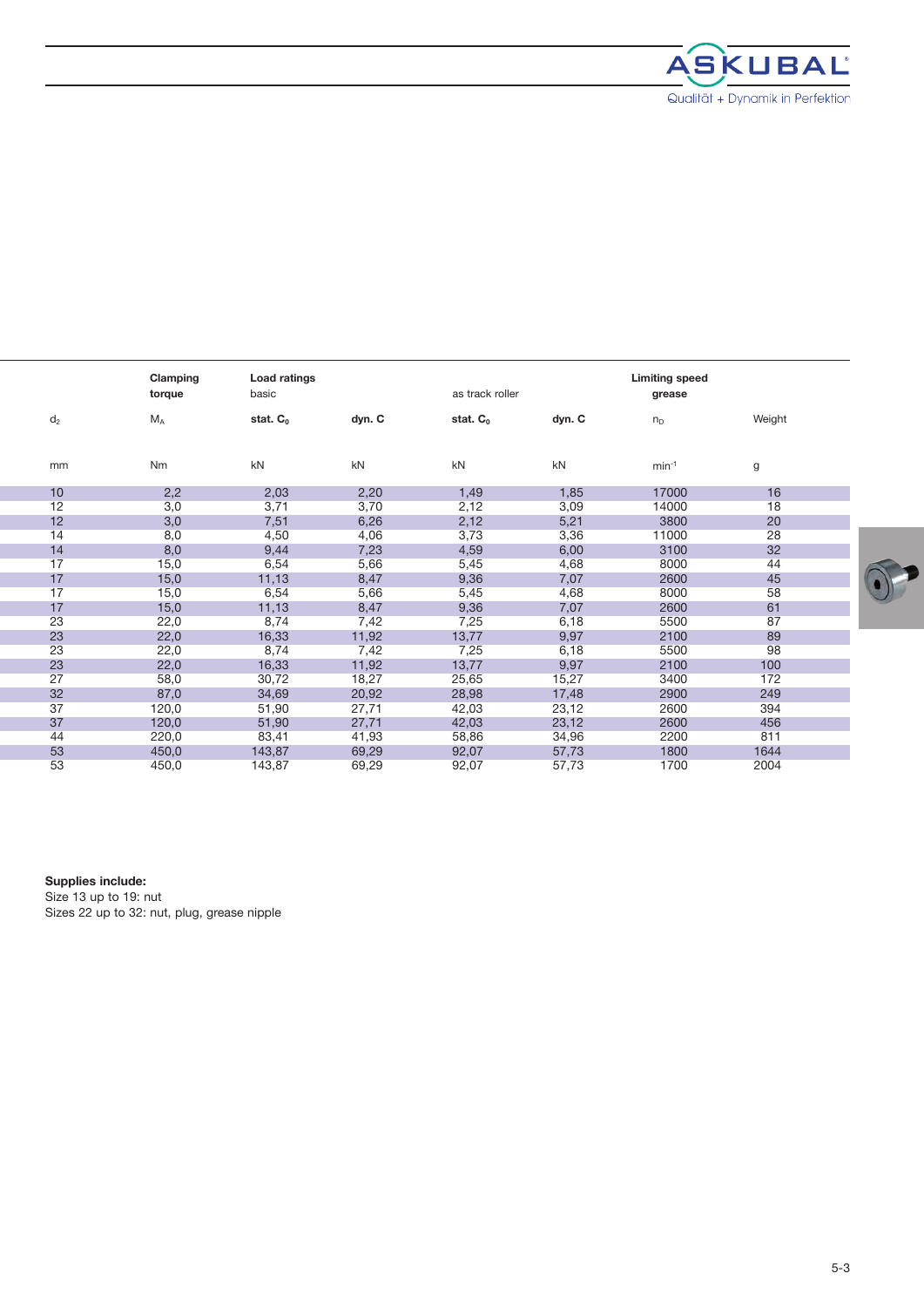

|       | Clamping<br>torque | Load ratings<br>basic |        | as track roller |        | <b>Limiting speed</b><br>grease |        |  |
|-------|--------------------|-----------------------|--------|-----------------|--------|---------------------------------|--------|--|
| $d_2$ | $M_A$              | stat. $C_0$           | dyn. C | stat. $C_0$     | dyn. C | $n_{D}$                         | Weight |  |
| mm    | Nm                 | kN                    | kN     | kN              | kN     | $min-1$                         | g      |  |
| 10    | 2,2                | 2,03                  | 2,20   | 1,49            | 1,85   | 17000                           | 16     |  |
| 12    | 3,0                | 3,71                  | 3,70   | 2,12            | 3,09   | 14000                           | 18     |  |
| 12    | 3,0                | 7,51                  | 6,26   | 2,12            | 5,21   | 3800                            | 20     |  |
| 14    | 8,0                | 4,50                  | 4,06   | 3,73            | 3,36   | 11000                           | 28     |  |
| 14    | 8,0                | 9,44                  | 7,23   | 4,59            | 6,00   | 3100                            | 32     |  |
| 17    | 15,0               | 6,54                  | 5,66   | 5,45            | 4,68   | 8000                            | 44     |  |
| 17    | 15,0               | 11,13                 | 8,47   | 9,36            | 7,07   | 2600                            | 45     |  |
| 17    | 15,0               | 6,54                  | 5,66   | 5,45            | 4,68   | 8000                            | 58     |  |
| 17    | 15,0               | 11,13                 | 8,47   | 9,36            | 7,07   | 2600                            | 61     |  |
| 23    | 22,0               | 8,74                  | 7,42   | 7,25            | 6,18   | 5500                            | 87     |  |
| 23    | 22,0               | 16,33                 | 11,92  | 13,77           | 9,97   | 2100                            | 89     |  |
| 23    | 22,0               | 8,74                  | 7,42   | 7,25            | 6,18   | 5500                            | 98     |  |
| 23    | 22,0               | 16,33                 | 11,92  | 13,77           | 9,97   | 2100                            | 100    |  |
| 27    | 58,0               | 30,72                 | 18,27  | 25,65           | 15,27  | 3400                            | 172    |  |
| 32    | 87,0               | 34,69                 | 20,92  | 28,98           | 17,48  | 2900                            | 249    |  |
| 37    | 120,0              | 51,90                 | 27,71  | 42,03           | 23,12  | 2600                            | 394    |  |
| 37    | 120,0              | 51,90                 | 27,71  | 42,03           | 23,12  | 2600                            | 456    |  |
| 44    | 220,0              | 83,41                 | 41,93  | 58,86           | 34,96  | 2200                            | 811    |  |
| 53    | 450,0              | 143,87                | 69,29  | 92,07           | 57,73  | 1800                            | 1644   |  |
| 53    | 450,0              | 143,87                | 69,29  | 92,07           | 57,73  | 1700                            | 2004   |  |

**Supplies include:**

Size 13 up to 19: nut Sizes 22 up to 32: nut, plug, grease nipple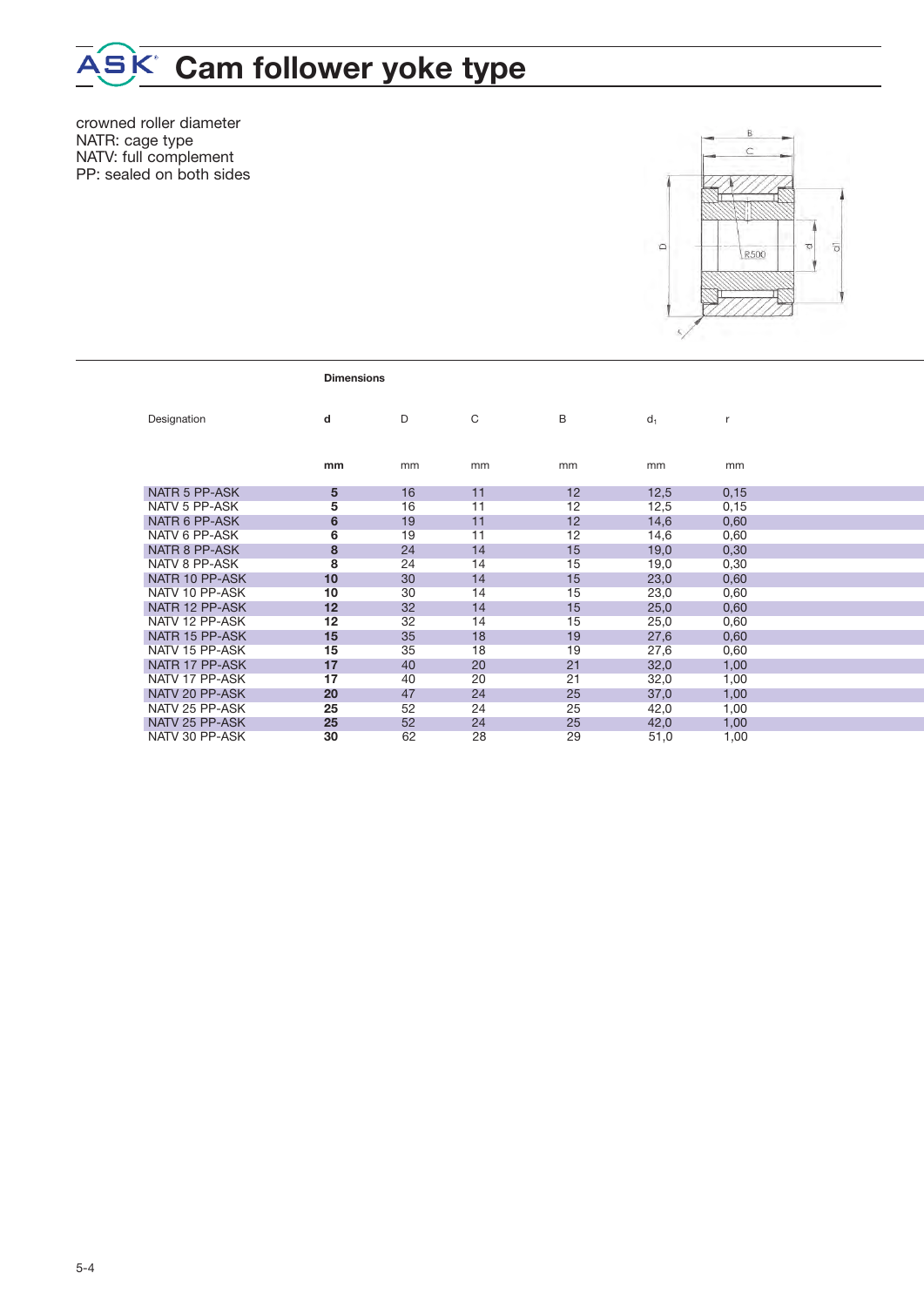## **Cam follower yoke type**

crowned roller diameter NATR: cage type NATV: full complement PP: sealed on both sides



|                | <b>Dimensions</b> |    |    |    |       |      |  |
|----------------|-------------------|----|----|----|-------|------|--|
| Designation    | d                 | D  | C  | B  | $d_1$ | r    |  |
|                | mm                | mm | mm | mm | mm    | mm   |  |
| NATR 5 PP-ASK  | 5                 | 16 | 11 | 12 | 12,5  | 0,15 |  |
| NATV 5 PP-ASK  | 5                 | 16 | 11 | 12 | 12,5  | 0,15 |  |
| NATR 6 PP-ASK  | 6                 | 19 | 11 | 12 | 14,6  | 0,60 |  |
| NATV 6 PP-ASK  | 6                 | 19 | 11 | 12 | 14,6  | 0,60 |  |
| NATR 8 PP-ASK  | 8                 | 24 | 14 | 15 | 19,0  | 0,30 |  |
| NATV 8 PP-ASK  | 8                 | 24 | 14 | 15 | 19,0  | 0,30 |  |
| NATR 10 PP-ASK | 10                | 30 | 14 | 15 | 23,0  | 0,60 |  |
| NATV 10 PP-ASK | 10                | 30 | 14 | 15 | 23,0  | 0,60 |  |
| NATR 12 PP-ASK | 12                | 32 | 14 | 15 | 25,0  | 0,60 |  |
| NATV 12 PP-ASK | 12                | 32 | 14 | 15 | 25,0  | 0,60 |  |
| NATR 15 PP-ASK | 15                | 35 | 18 | 19 | 27,6  | 0,60 |  |
| NATV 15 PP-ASK | 15                | 35 | 18 | 19 | 27,6  | 0,60 |  |
| NATR 17 PP-ASK | 17                | 40 | 20 | 21 | 32,0  | 1,00 |  |
| NATV 17 PP-ASK | 17                | 40 | 20 | 21 | 32,0  | 1,00 |  |
| NATV 20 PP-ASK | 20                | 47 | 24 | 25 | 37,0  | 1,00 |  |
| NATV 25 PP-ASK | 25                | 52 | 24 | 25 | 42,0  | 1,00 |  |
| NATV 25 PP-ASK | 25                | 52 | 24 | 25 | 42,0  | 1,00 |  |
| NATV 30 PP-ASK | 30                | 62 | 28 | 29 | 51,0  | 1,00 |  |